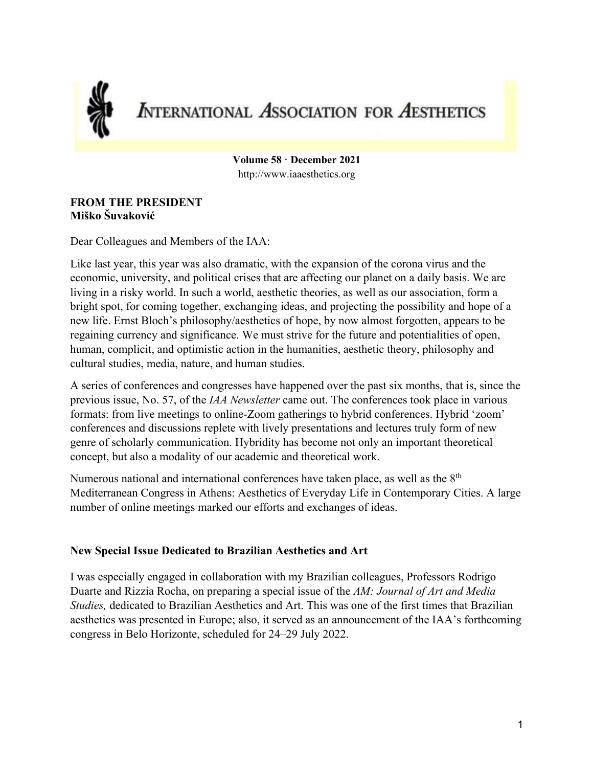

# **INTERNATIONAL ASSOCIATION FOR AESTHETICS**

**Volume 58 · December 2021** http://www.iaaesthetics.org

#### **FROM THE PRESIDENT Miško Šuvaković**

Dear Colleagues and Members of the IAA:

Like last year, this year was also dramatic, with the expansion of the corona virus and the economic, university, and political crises that are affecting our planet on a daily basis. We are living in a risky world. In such a world, aesthetic theories, as well as our association, form a bright spot, for coming together, exchanging ideas, and projecting the possibility and hope of a new life. Ernst Bloch's philosophy/aesthetics of hope, by now almost forgotten, appears to be regaining currency and significance. We must strive for the future and potentialities of open, human, complicit, and optimistic action in the humanities, aesthetic theory, philosophy and cultural studies, media, nature, and human studies.

A series of conferences and congresses have happened over the past six months, that is, since the previous issue, No. 57, of the *IAA Newsletter* came out. The conferences took place in various formats: from live meetings to online-Zoom gatherings to hybrid conferences. Hybrid 'zoom' conferences and discussions replete with lively presentations and lectures truly form of new genre of scholarly communication. Hybridity has become not only an important theoretical concept, but also a modality of our academic and theoretical work.

Numerous national and international conferences have taken place, as well as the  $8<sup>th</sup>$ Mediterranean Congress in Athens: Aesthetics of Everyday Life in Contemporary Cities. A large number of online meetings marked our efforts and exchanges of ideas.

#### **New Special Issue Dedicated to Brazilian Aesthetics and Art**

I was especially engaged in collaboration with my Brazilian colleagues, Professors Rodrigo Duarte and Rizzia Rocha, on preparing a special issue of the *AM: Journal of Art and Media Studies,* dedicated to Brazilian Aesthetics and Art. This was one of the first times that Brazilian aesthetics was presented in Europe; also, it served as an announcement of the IAA's forthcoming congress in Belo Horizonte, scheduled for 24–29 July 2022.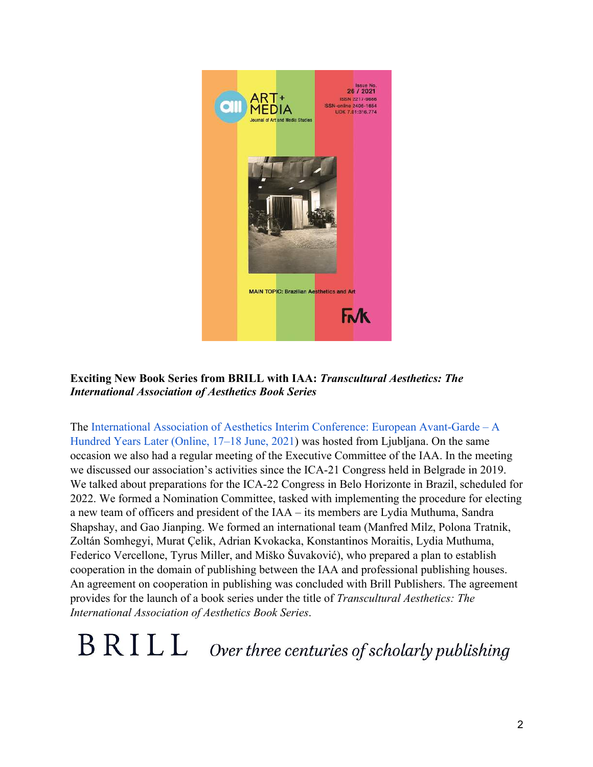

**Exciting New Book Series from BRILL with IAA:** *Transcultural Aesthetics: The International Association of Aesthetics Book Series*

The International Association of Aesthetics Interim Conference: European Avant-Garde – A Hundred Years Later (Online, 17–18 June, 2021) was hosted from Ljubljana. On the same occasion we also had a regular meeting of the Executive Committee of the IAA. In the meeting we discussed our association's activities since the ICA-21 Congress held in Belgrade in 2019. We talked about preparations for the ICA-22 Congress in Belo Horizonte in Brazil, scheduled for 2022. We formed a Nomination Committee, tasked with implementing the procedure for electing a new team of officers and president of the IAA – its members are Lydia Muthuma, Sandra Shapshay, and Gao Jianping. We formed an international team (Manfred Milz, Polona Tratnik, Zoltán Somhegyi, Murat Çelik, Adrian Kvokacka, Konstantinos Moraitis, Lydia Muthuma, Federico Vercellone, Tyrus Miller, and Miško Šuvaković), who prepared a plan to establish cooperation in the domain of publishing between the IAA and professional publishing houses. An agreement on cooperation in publishing was concluded with Brill Publishers. The agreement provides for the launch of a book series under the title of *Transcultural Aesthetics: The International Association of Aesthetics Book Series*.

# $B R I L L$  Over three centuries of scholarly publishing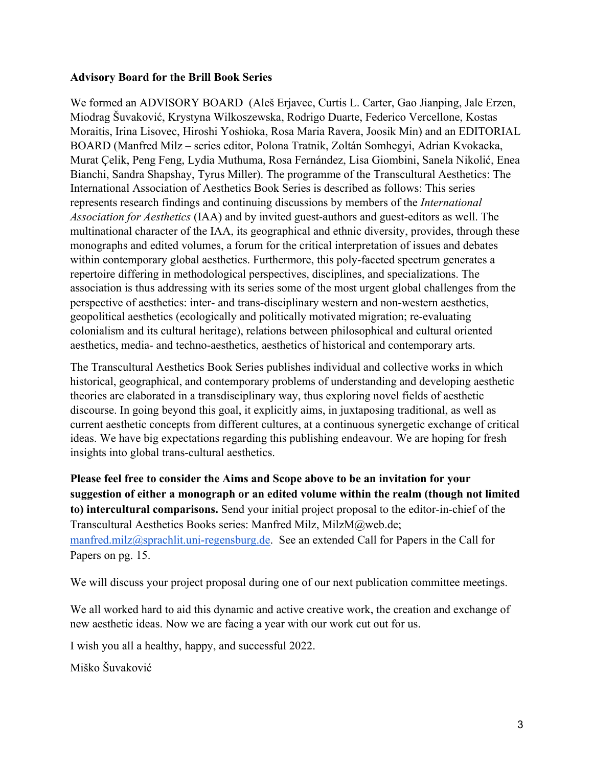#### **Advisory Board for the Brill Book Series**

We formed an ADVISORY BOARD (Aleš Erjavec, Curtis L. Carter, Gao Jianping, Jale Erzen, Miodrag Šuvaković, Krystyna Wilkoszewska, Rodrigo Duarte, Federico Vercellone, Kostas Moraitis, Irina Lisovec, Hiroshi Yoshioka, Rosa Maria Ravera, Joosik Min) and an EDITORIAL BOARD (Manfred Milz – series editor, Polona Tratnik, Zoltán Somhegyi, Adrian Kvokacka, Murat Çelik, Peng Feng, Lydia Muthuma, Rosa Fernández, Lisa Giombini, Sanela Nikolić, Enea Bianchi, Sandra Shapshay, Tyrus Miller). The programme of the Transcultural Aesthetics: The International Association of Aesthetics Book Series is described as follows: This series represents research findings and continuing discussions by members of the *International Association for Aesthetics* (IAA) and by invited guest-authors and guest-editors as well. The multinational character of the IAA, its geographical and ethnic diversity, provides, through these monographs and edited volumes, a forum for the critical interpretation of issues and debates within contemporary global aesthetics. Furthermore, this poly-faceted spectrum generates a repertoire differing in methodological perspectives, disciplines, and specializations. The association is thus addressing with its series some of the most urgent global challenges from the perspective of aesthetics: inter- and trans-disciplinary western and non-western aesthetics, geopolitical aesthetics (ecologically and politically motivated migration; re-evaluating colonialism and its cultural heritage), relations between philosophical and cultural oriented aesthetics, media- and techno-aesthetics, aesthetics of historical and contemporary arts.

The Transcultural Aesthetics Book Series publishes individual and collective works in which historical, geographical, and contemporary problems of understanding and developing aesthetic theories are elaborated in a transdisciplinary way, thus exploring novel fields of aesthetic discourse. In going beyond this goal, it explicitly aims, in juxtaposing traditional, as well as current aesthetic concepts from different cultures, at a continuous synergetic exchange of critical ideas. We have big expectations regarding this publishing endeavour. We are hoping for fresh insights into global trans-cultural aesthetics.

**Please feel free to consider the Aims and Scope above to be an invitation for your suggestion of either a monograph or an edited volume within the realm (though not limited to) intercultural comparisons.** Send your initial project proposal to the editor-in-chief of the Transcultural Aesthetics Books series: Manfred Milz, MilzM@web.de; manfred.milz@sprachlit.uni-regensburg.de. See an extended Call for Papers in the Call for Papers on pg. 15.

We will discuss your project proposal during one of our next publication committee meetings.

We all worked hard to aid this dynamic and active creative work, the creation and exchange of new aesthetic ideas. Now we are facing a year with our work cut out for us.

I wish you all a healthy, happy, and successful 2022.

Miško Šuvaković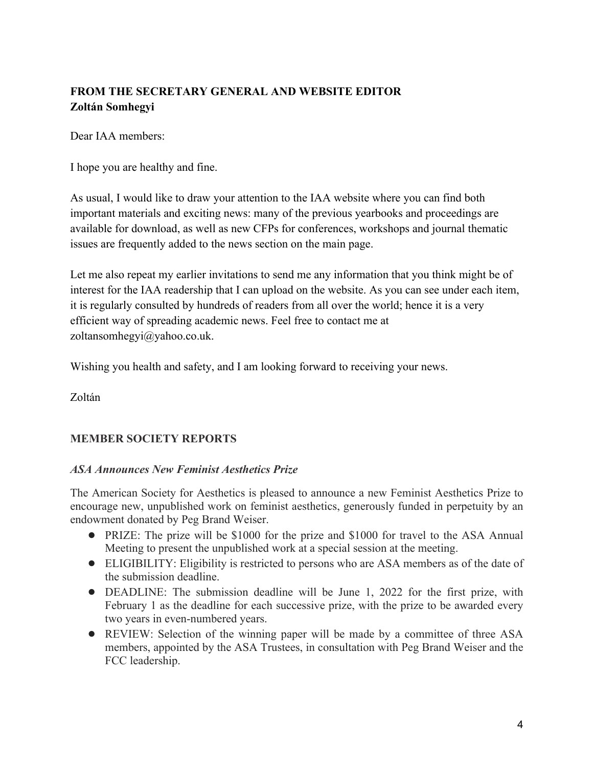# **FROM THE SECRETARY GENERAL AND WEBSITE EDITOR Zoltán Somhegyi**

Dear IAA members:

I hope you are healthy and fine.

As usual, I would like to draw your attention to the IAA website where you can find both important materials and exciting news: many of the previous yearbooks and proceedings are available for download, as well as new CFPs for conferences, workshops and journal thematic issues are frequently added to the news section on the main page.

Let me also repeat my earlier invitations to send me any information that you think might be of interest for the IAA readership that I can upload on the website. As you can see under each item, it is regularly consulted by hundreds of readers from all over the world; hence it is a very efficient way of spreading academic news. Feel free to contact me at zoltansomhegyi@yahoo.co.uk.

Wishing you health and safety, and I am looking forward to receiving your news.

Zoltán

#### **MEMBER SOCIETY REPORTS**

#### *ASA Announces New Feminist Aesthetics Prize*

The American Society for Aesthetics is pleased to announce a new Feminist Aesthetics Prize to encourage new, unpublished work on feminist aesthetics, generously funded in perpetuity by an endowment donated by Peg Brand Weiser.

- PRIZE: The prize will be \$1000 for the prize and \$1000 for travel to the ASA Annual Meeting to present the unpublished work at a special session at the meeting.
- ELIGIBILITY: Eligibility is restricted to persons who are ASA members as of the date of the submission deadline.
- DEADLINE: The submission deadline will be June 1, 2022 for the first prize, with February 1 as the deadline for each successive prize, with the prize to be awarded every two years in even-numbered years.
- REVIEW: Selection of the winning paper will be made by a committee of three ASA members, appointed by the ASA Trustees, in consultation with Peg Brand Weiser and the FCC leadership.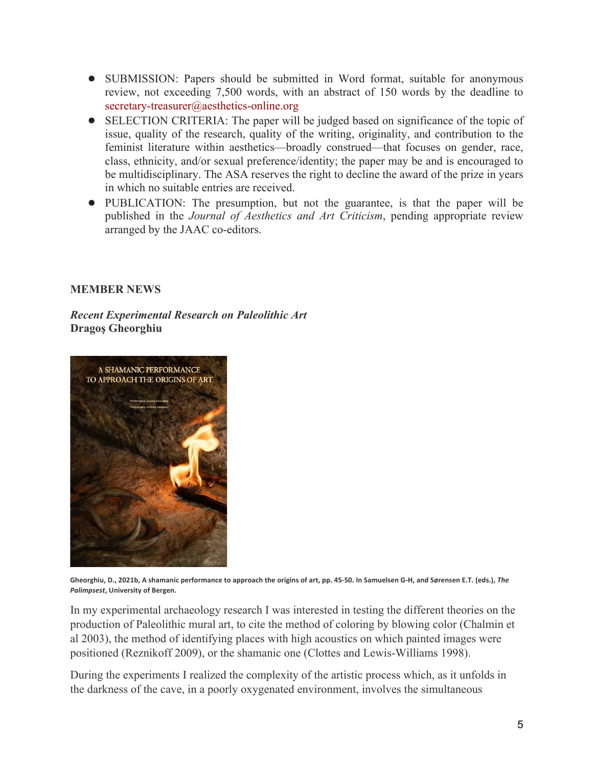- SUBMISSION: Papers should be submitted in Word format, suitable for anonymous review, not exceeding 7,500 words, with an abstract of 150 words by the deadline to secretary-treasurer@aesthetics-online.org
- SELECTION CRITERIA: The paper will be judged based on significance of the topic of issue, quality of the research, quality of the writing, originality, and contribution to the feminist literature within aesthetics—broadly construed—that focuses on gender, race, class, ethnicity, and/or sexual preference/identity; the paper may be and is encouraged to be multidisciplinary. The ASA reserves the right to decline the award of the prize in years in which no suitable entries are received.
- PUBLICATION: The presumption, but not the guarantee, is that the paper will be published in the *Journal of Aesthetics and Art Criticism*, pending appropriate review arranged by the JAAC co-editors.

#### **MEMBER NEWS**

*Recent Experimental Research on Paleolithic Art* **Dragoş Gheorghiu**



**Gheorghiu, D., 2021b, A shamanic performance to approach the origins of art, pp. 45-50. In Samuelsen G-H, and Sørensen E.T. (eds.),** *The Palimpsest***, University of Bergen.**

In my experimental archaeology research I was interested in testing the different theories on the production of Paleolithic mural art, to cite the method of coloring by blowing color (Chalmin et al 2003), the method of identifying places with high acoustics on which painted images were positioned (Reznikoff 2009), or the shamanic one (Clottes and Lewis-Williams 1998).

During the experiments I realized the complexity of the artistic process which, as it unfolds in the darkness of the cave, in a poorly oxygenated environment, involves the simultaneous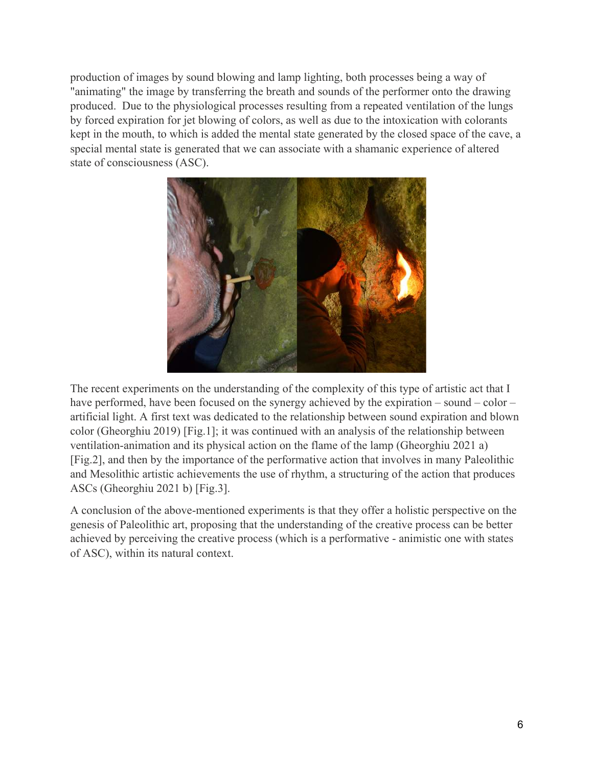production of images by sound blowing and lamp lighting, both processes being a way of "animating" the image by transferring the breath and sounds of the performer onto the drawing produced. Due to the physiological processes resulting from a repeated ventilation of the lungs by forced expiration for jet blowing of colors, as well as due to the intoxication with colorants kept in the mouth, to which is added the mental state generated by the closed space of the cave, a special mental state is generated that we can associate with a shamanic experience of altered state of consciousness (ASC).



The recent experiments on the understanding of the complexity of this type of artistic act that I have performed, have been focused on the synergy achieved by the expiration – sound – color – artificial light. A first text was dedicated to the relationship between sound expiration and blown color (Gheorghiu 2019) [Fig.1]; it was continued with an analysis of the relationship between ventilation-animation and its physical action on the flame of the lamp (Gheorghiu 2021 a) [Fig.2], and then by the importance of the performative action that involves in many Paleolithic and Mesolithic artistic achievements the use of rhythm, a structuring of the action that produces ASCs (Gheorghiu 2021 b) [Fig.3].

A conclusion of the above-mentioned experiments is that they offer a holistic perspective on the genesis of Paleolithic art, proposing that the understanding of the creative process can be better achieved by perceiving the creative process (which is a performative - animistic one with states of ASC), within its natural context.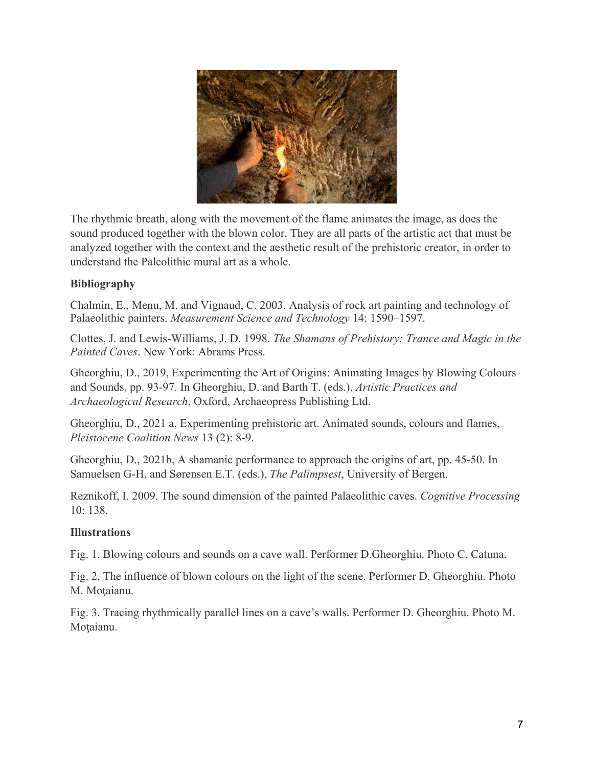

The rhythmic breath, along with the movement of the flame animates the image, as does the sound produced together with the blown color. They are all parts of the artistic act that must be analyzed together with the context and the aesthetic result of the prehistoric creator, in order to understand the Paleolithic mural art as a whole.

# **Bibliography**

Chalmin, E., Menu, M. and Vignaud, C. 2003. Analysis of rock art painting and technology of Palaeolithic painters. *Measurement Science and Technology* 14: 1590–1597.

Clottes, J. and Lewis-Williams, J. D. 1998. *The Shamans of Prehistory: Trance and Magic in the Painted Caves*. New York: Abrams Press.

Gheorghiu, D., 2019, Experimenting the Art of Origins: Animating Images by Blowing Colours and Sounds, pp. 93-97. In Gheorghiu, D. and Barth T. (eds.), *Artistic Practices and Archaeological Research*, Oxford, Archaeopress Publishing Ltd.

Gheorghiu, D., 2021 a, Experimenting prehistoric art. Animated sounds, colours and flames, *Pleistocene Coalition News* 13 (2): 8-9.

Gheorghiu, D., 2021b, A shamanic performance to approach the origins of art, pp. 45-50. In Samuelsen G-H, and Sørensen E.T. (eds.), *The Palimpsest*, University of Bergen.

Reznikoff, I. 2009. The sound dimension of the painted Palaeolithic caves. *Cognitive Processing* 10: 138.

# **Illustrations**

Fig. 1. Blowing colours and sounds on a cave wall. Performer D.Gheorghiu. Photo C. Catuna.

Fig. 2. The influence of blown colours on the light of the scene. Performer D. Gheorghiu. Photo M. Moţaianu.

Fig. 3. Tracing rhythmically parallel lines on a cave's walls. Performer D. Gheorghiu. Photo M. Moţaianu.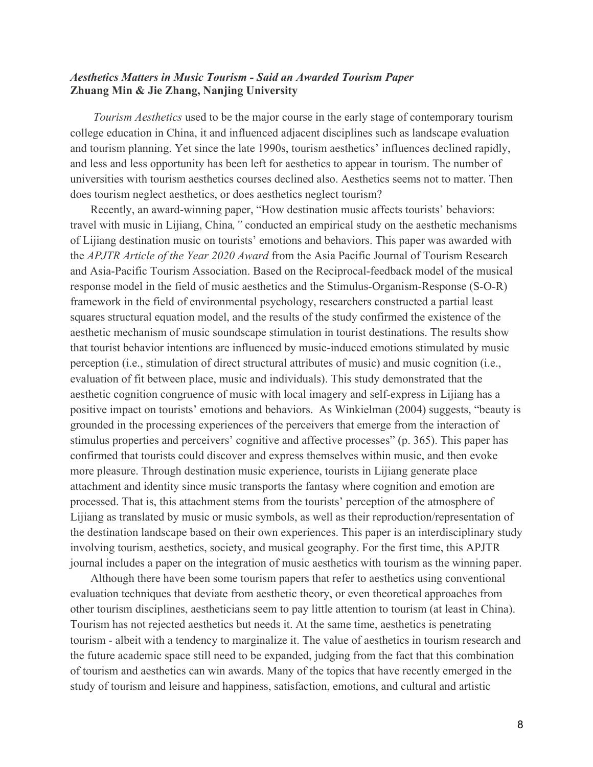#### *Aesthetics Matters in Music Tourism - Said an Awarded Tourism Paper* **Zhuang Min & Jie Zhang, Nanjing University**

*Tourism Aesthetics* used to be the major course in the early stage of contemporary tourism college education in China, it and influenced adjacent disciplines such as landscape evaluation and tourism planning. Yet since the late 1990s, tourism aesthetics' influences declined rapidly, and less and less opportunity has been left for aesthetics to appear in tourism. The number of universities with tourism aesthetics courses declined also. Aesthetics seems not to matter. Then does tourism neglect aesthetics, or does aesthetics neglect tourism?

Recently, an award-winning paper, "How destination music affects tourists' behaviors: travel with music in Lijiang, China*,"* conducted an empirical study on the aesthetic mechanisms of Lijiang destination music on tourists' emotions and behaviors. This paper was awarded with the *APJTR Article of the Year 2020 Award* from the Asia Pacific Journal of Tourism Research and Asia-Pacific Tourism Association. Based on the Reciprocal-feedback model of the musical response model in the field of music aesthetics and the Stimulus-Organism-Response (S-O-R) framework in the field of environmental psychology, researchers constructed a partial least squares structural equation model, and the results of the study confirmed the existence of the aesthetic mechanism of music soundscape stimulation in tourist destinations. The results show that tourist behavior intentions are influenced by music-induced emotions stimulated by music perception (i.e., stimulation of direct structural attributes of music) and music cognition (i.e., evaluation of fit between place, music and individuals). This study demonstrated that the aesthetic cognition congruence of music with local imagery and self-express in Lijiang has a positive impact on tourists' emotions and behaviors. As Winkielman (2004) suggests, "beauty is grounded in the processing experiences of the perceivers that emerge from the interaction of stimulus properties and perceivers' cognitive and affective processes" (p. 365). This paper has confirmed that tourists could discover and express themselves within music, and then evoke more pleasure. Through destination music experience, tourists in Lijiang generate place attachment and identity since music transports the fantasy where cognition and emotion are processed. That is, this attachment stems from the tourists' perception of the atmosphere of Lijiang as translated by music or music symbols, as well as their reproduction/representation of the destination landscape based on their own experiences. This paper is an interdisciplinary study involving tourism, aesthetics, society, and musical geography. For the first time, this APJTR journal includes a paper on the integration of music aesthetics with tourism as the winning paper.

Although there have been some tourism papers that refer to aesthetics using conventional evaluation techniques that deviate from aesthetic theory, or even theoretical approaches from other tourism disciplines, aestheticians seem to pay little attention to tourism (at least in China). Tourism has not rejected aesthetics but needs it. At the same time, aesthetics is penetrating tourism - albeit with a tendency to marginalize it. The value of aesthetics in tourism research and the future academic space still need to be expanded, judging from the fact that this combination of tourism and aesthetics can win awards. Many of the topics that have recently emerged in the study of tourism and leisure and happiness, satisfaction, emotions, and cultural and artistic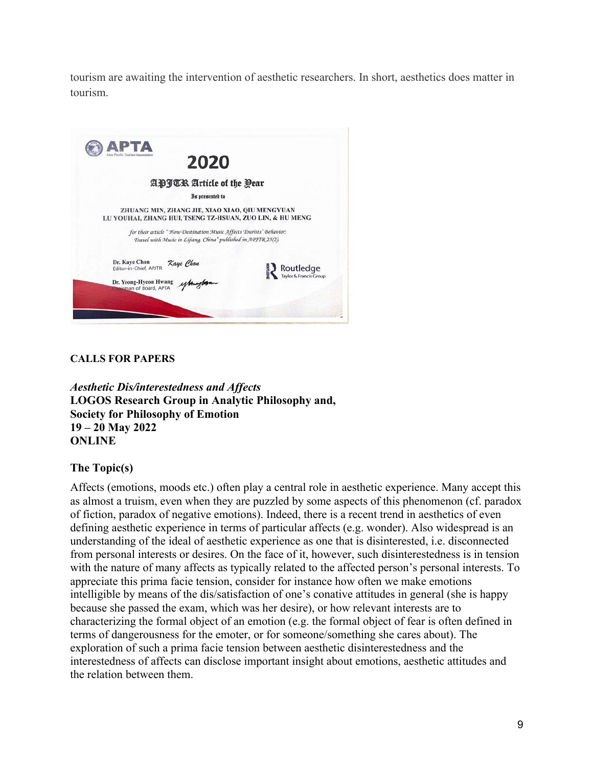tourism are awaiting the intervention of aesthetic researchers. In short, aesthetics does matter in tourism.



#### **CALLS FOR PAPERS**

*Aesthetic Dis/interestedness and Affects* **LOGOS Research Group in Analytic Philosophy and, Society for Philosophy of Emotion 19 – 20 May 2022 ONLINE**

#### **The Topic(s)**

Affects (emotions, moods etc.) often play a central role in aesthetic experience. Many accept this as almost a truism, even when they are puzzled by some aspects of this phenomenon (cf. paradox of fiction, paradox of negative emotions). Indeed, there is a recent trend in aesthetics of even defining aesthetic experience in terms of particular affects (e.g. wonder). Also widespread is an understanding of the ideal of aesthetic experience as one that is disinterested, i.e. disconnected from personal interests or desires. On the face of it, however, such disinterestedness is in tension with the nature of many affects as typically related to the affected person's personal interests. To appreciate this prima facie tension, consider for instance how often we make emotions intelligible by means of the dis/satisfaction of one's conative attitudes in general (she is happy because she passed the exam, which was her desire), or how relevant interests are to characterizing the formal object of an emotion (e.g. the formal object of fear is often defined in terms of dangerousness for the emoter, or for someone/something she cares about). The exploration of such a prima facie tension between aesthetic disinterestedness and the interestedness of affects can disclose important insight about emotions, aesthetic attitudes and the relation between them.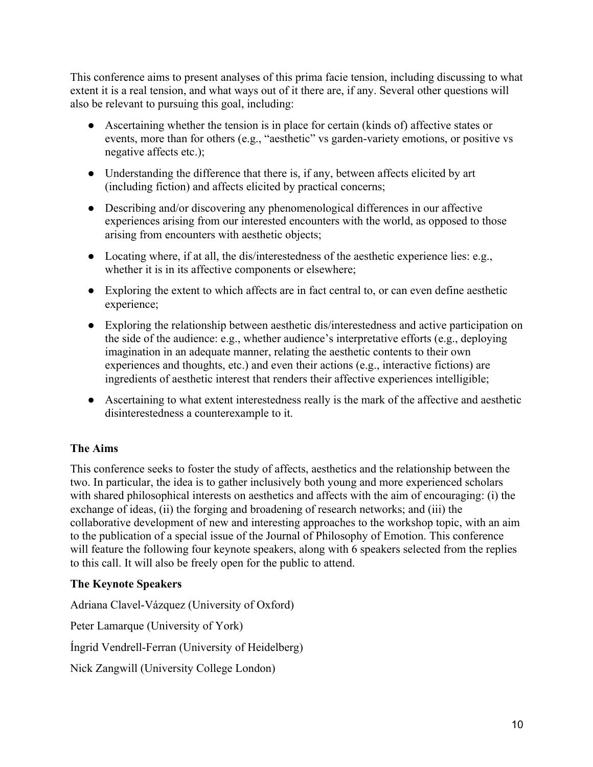This conference aims to present analyses of this prima facie tension, including discussing to what extent it is a real tension, and what ways out of it there are, if any. Several other questions will also be relevant to pursuing this goal, including:

- Ascertaining whether the tension is in place for certain (kinds of) affective states or events, more than for others (e.g., "aesthetic" vs garden-variety emotions, or positive vs negative affects etc.);
- Understanding the difference that there is, if any, between affects elicited by art (including fiction) and affects elicited by practical concerns;
- Describing and/or discovering any phenomenological differences in our affective experiences arising from our interested encounters with the world, as opposed to those arising from encounters with aesthetic objects;
- Locating where, if at all, the dis/interestedness of the aesthetic experience lies: e.g., whether it is in its affective components or elsewhere;
- Exploring the extent to which affects are in fact central to, or can even define aesthetic experience;
- Exploring the relationship between aesthetic dis/interestedness and active participation on the side of the audience: e.g., whether audience's interpretative efforts (e.g., deploying imagination in an adequate manner, relating the aesthetic contents to their own experiences and thoughts, etc.) and even their actions (e.g., interactive fictions) are ingredients of aesthetic interest that renders their affective experiences intelligible;
- Ascertaining to what extent interestedness really is the mark of the affective and aesthetic disinterestedness a counterexample to it.

# **The Aims**

This conference seeks to foster the study of affects, aesthetics and the relationship between the two. In particular, the idea is to gather inclusively both young and more experienced scholars with shared philosophical interests on aesthetics and affects with the aim of encouraging: (i) the exchange of ideas, (ii) the forging and broadening of research networks; and (iii) the collaborative development of new and interesting approaches to the workshop topic, with an aim to the publication of a special issue of the Journal of Philosophy of Emotion. This conference will feature the following four keynote speakers, along with 6 speakers selected from the replies to this call. It will also be freely open for the public to attend.

# **The Keynote Speakers**

Adriana Clavel-Vázquez (University of Oxford) Peter Lamarque (University of York) Íngrid Vendrell-Ferran (University of Heidelberg) Nick Zangwill (University College London)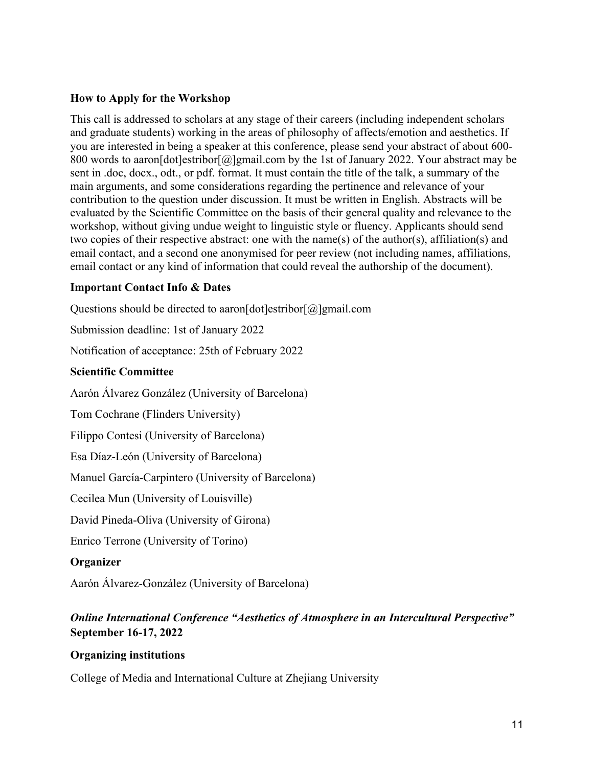#### **How to Apply for the Workshop**

This call is addressed to scholars at any stage of their careers (including independent scholars and graduate students) working in the areas of philosophy of affects/emotion and aesthetics. If you are interested in being a speaker at this conference, please send your abstract of about 600- 800 words to aaron[dot]estribor[@]gmail.com by the 1st of January 2022. Your abstract may be sent in .doc, docx., odt., or pdf. format. It must contain the title of the talk, a summary of the main arguments, and some considerations regarding the pertinence and relevance of your contribution to the question under discussion. It must be written in English. Abstracts will be evaluated by the Scientific Committee on the basis of their general quality and relevance to the workshop, without giving undue weight to linguistic style or fluency. Applicants should send two copies of their respective abstract: one with the name(s) of the author(s), affiliation(s) and email contact, and a second one anonymised for peer review (not including names, affiliations, email contact or any kind of information that could reveal the authorship of the document).

#### **Important Contact Info & Dates**

Questions should be directed to aaron [dot]estribor  $\lceil \omega \rceil$ gmail.com

Submission deadline: 1st of January 2022

Notification of acceptance: 25th of February 2022

# **Scientific Committee**

Aarón Álvarez González (University of Barcelona)

Tom Cochrane (Flinders University)

Filippo Contesi (University of Barcelona)

Esa Díaz-León (University of Barcelona)

Manuel García-Carpintero (University of Barcelona)

Cecilea Mun (University of Louisville)

David Pineda-Oliva (University of Girona)

Enrico Terrone (University of Torino)

# **Organizer**

Aarón Álvarez-González (University of Barcelona)

# *Online International Conference "Aesthetics of Atmosphere in an Intercultural Perspective"* **September 16-17, 2022**

#### **Organizing institutions**

College of Media and International Culture at Zhejiang University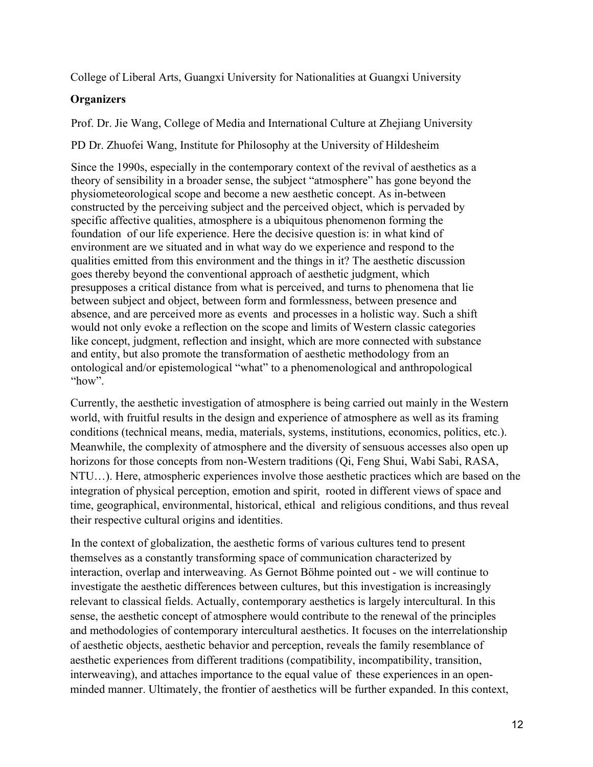College of Liberal Arts, Guangxi University for Nationalities at Guangxi University

#### **Organizers**

Prof. Dr. Jie Wang, College of Media and International Culture at Zhejiang University

PD Dr. Zhuofei Wang, Institute for Philosophy at the University of Hildesheim

Since the 1990s, especially in the contemporary context of the revival of aesthetics as a theory of sensibility in a broader sense, the subject "atmosphere" has gone beyond the physiometeorological scope and become a new aesthetic concept. As in-between constructed by the perceiving subject and the perceived object, which is pervaded by specific affective qualities, atmosphere is a ubiquitous phenomenon forming the foundation of our life experience. Here the decisive question is: in what kind of environment are we situated and in what way do we experience and respond to the qualities emitted from this environment and the things in it? The aesthetic discussion goes thereby beyond the conventional approach of aesthetic judgment, which presupposes a critical distance from what is perceived, and turns to phenomena that lie between subject and object, between form and formlessness, between presence and absence, and are perceived more as events and processes in a holistic way. Such a shift would not only evoke a reflection on the scope and limits of Western classic categories like concept, judgment, reflection and insight, which are more connected with substance and entity, but also promote the transformation of aesthetic methodology from an ontological and/or epistemological "what" to a phenomenological and anthropological "how".

Currently, the aesthetic investigation of atmosphere is being carried out mainly in the Western world, with fruitful results in the design and experience of atmosphere as well as its framing conditions (technical means, media, materials, systems, institutions, economics, politics, etc.). Meanwhile, the complexity of atmosphere and the diversity of sensuous accesses also open up horizons for those concepts from non-Western traditions (Qi, Feng Shui, Wabi Sabi, RASA, NTU…). Here, atmospheric experiences involve those aesthetic practices which are based on the integration of physical perception, emotion and spirit, rooted in different views of space and time, geographical, environmental, historical, ethical and religious conditions, and thus reveal their respective cultural origins and identities.

In the context of globalization, the aesthetic forms of various cultures tend to present themselves as a constantly transforming space of communication characterized by interaction, overlap and interweaving. As Gernot Böhme pointed out - we will continue to investigate the aesthetic differences between cultures, but this investigation is increasingly relevant to classical fields. Actually, contemporary aesthetics is largely intercultural. In this sense, the aesthetic concept of atmosphere would contribute to the renewal of the principles and methodologies of contemporary intercultural aesthetics. It focuses on the interrelationship of aesthetic objects, aesthetic behavior and perception, reveals the family resemblance of aesthetic experiences from different traditions (compatibility, incompatibility, transition, interweaving), and attaches importance to the equal value of these experiences in an openminded manner. Ultimately, the frontier of aesthetics will be further expanded. In this context,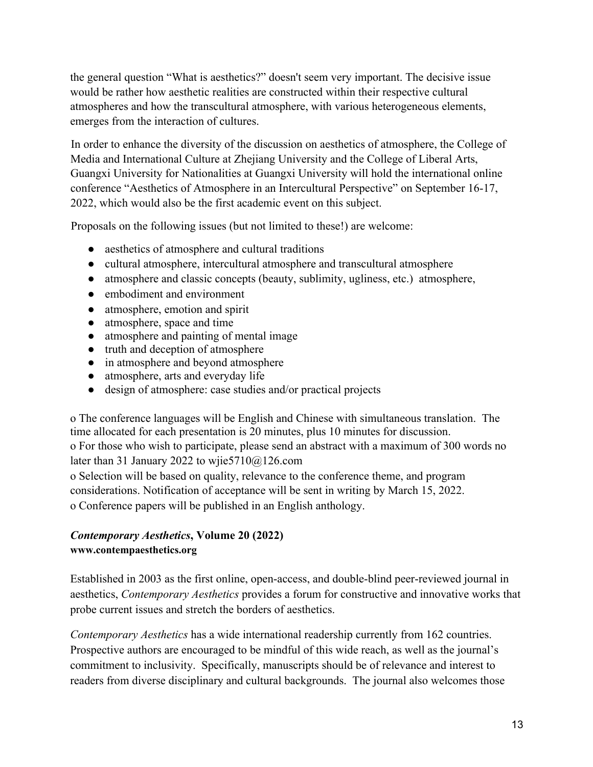the general question "What is aesthetics?" doesn't seem very important. The decisive issue would be rather how aesthetic realities are constructed within their respective cultural atmospheres and how the transcultural atmosphere, with various heterogeneous elements, emerges from the interaction of cultures.

In order to enhance the diversity of the discussion on aesthetics of atmosphere, the College of Media and International Culture at Zhejiang University and the College of Liberal Arts, Guangxi University for Nationalities at Guangxi University will hold the international online conference "Aesthetics of Atmosphere in an Intercultural Perspective" on September 16-17, 2022, which would also be the first academic event on this subject.

Proposals on the following issues (but not limited to these!) are welcome:

- aesthetics of atmosphere and cultural traditions
- cultural atmosphere, intercultural atmosphere and transcultural atmosphere
- atmosphere and classic concepts (beauty, sublimity, ugliness, etc.) atmosphere,
- embodiment and environment
- atmosphere, emotion and spirit
- atmosphere, space and time
- atmosphere and painting of mental image
- truth and deception of atmosphere
- in atmosphere and beyond atmosphere
- atmosphere, arts and everyday life
- design of atmosphere: case studies and/or practical projects

o The conference languages will be English and Chinese with simultaneous translation. The time allocated for each presentation is 20 minutes, plus 10 minutes for discussion. o For those who wish to participate, please send an abstract with a maximum of 300 words no later than 31 January 2022 to wjie5710@126.com

o Selection will be based on quality, relevance to the conference theme, and program considerations. Notification of acceptance will be sent in writing by March 15, 2022. o Conference papers will be published in an English anthology.

# *Contemporary Aesthetics***, Volume 20 (2022) www.contempaesthetics.org**

Established in 2003 as the first online, open-access, and double-blind peer-reviewed journal in aesthetics, *Contemporary Aesthetics* provides a forum for constructive and innovative works that probe current issues and stretch the borders of aesthetics.

*Contemporary Aesthetics* has a wide international readership currently from 162 countries. Prospective authors are encouraged to be mindful of this wide reach, as well as the journal's commitment to inclusivity. Specifically, manuscripts should be of relevance and interest to readers from diverse disciplinary and cultural backgrounds. The journal also welcomes those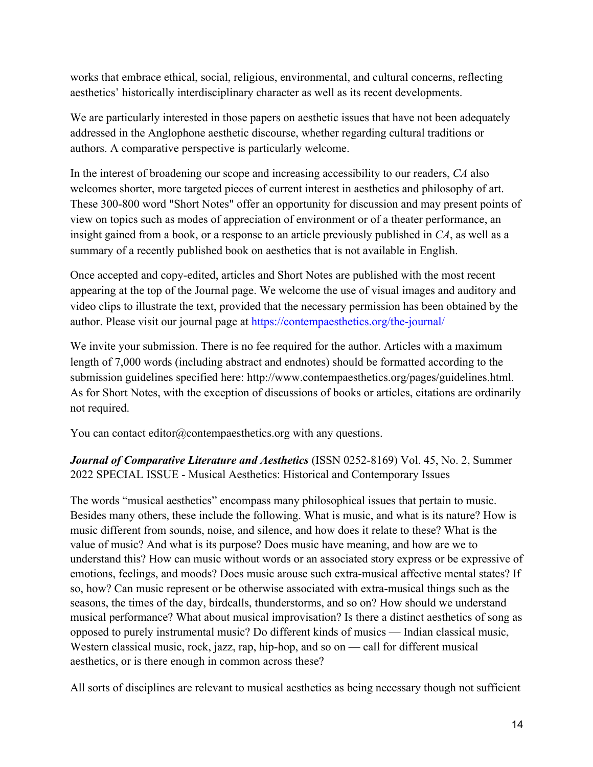works that embrace ethical, social, religious, environmental, and cultural concerns, reflecting aesthetics' historically interdisciplinary character as well as its recent developments.

We are particularly interested in those papers on aesthetic issues that have not been adequately addressed in the Anglophone aesthetic discourse, whether regarding cultural traditions or authors. A comparative perspective is particularly welcome.

In the interest of broadening our scope and increasing accessibility to our readers, *CA* also welcomes shorter, more targeted pieces of current interest in aesthetics and philosophy of art. These 300-800 word "Short Notes" offer an opportunity for discussion and may present points of view on topics such as modes of appreciation of environment or of a theater performance, an insight gained from a book, or a response to an article previously published in *CA*, as well as a summary of a recently published book on aesthetics that is not available in English.

Once accepted and copy-edited, articles and Short Notes are published with the most recent appearing at the top of the Journal page. We welcome the use of visual images and auditory and video clips to illustrate the text, provided that the necessary permission has been obtained by the author. Please visit our journal page at https://contempaesthetics.org/the-journal/

We invite your submission. There is no fee required for the author. Articles with a maximum length of 7,000 words (including abstract and endnotes) should be formatted according to the submission guidelines specified here: http://www.contempaesthetics.org/pages/guidelines.html. As for Short Notes, with the exception of discussions of books or articles, citations are ordinarily not required.

You can contact editor@contempaesthetics.org with any questions.

*Journal of Comparative Literature and Aesthetics* (ISSN 0252-8169) Vol. 45, No. 2, Summer 2022 SPECIAL ISSUE - Musical Aesthetics: Historical and Contemporary Issues

The words "musical aesthetics" encompass many philosophical issues that pertain to music. Besides many others, these include the following. What is music, and what is its nature? How is music different from sounds, noise, and silence, and how does it relate to these? What is the value of music? And what is its purpose? Does music have meaning, and how are we to understand this? How can music without words or an associated story express or be expressive of emotions, feelings, and moods? Does music arouse such extra-musical affective mental states? If so, how? Can music represent or be otherwise associated with extra-musical things such as the seasons, the times of the day, birdcalls, thunderstorms, and so on? How should we understand musical performance? What about musical improvisation? Is there a distinct aesthetics of song as opposed to purely instrumental music? Do different kinds of musics — Indian classical music, Western classical music, rock, jazz, rap, hip-hop, and so on — call for different musical aesthetics, or is there enough in common across these?

All sorts of disciplines are relevant to musical aesthetics as being necessary though not sufficient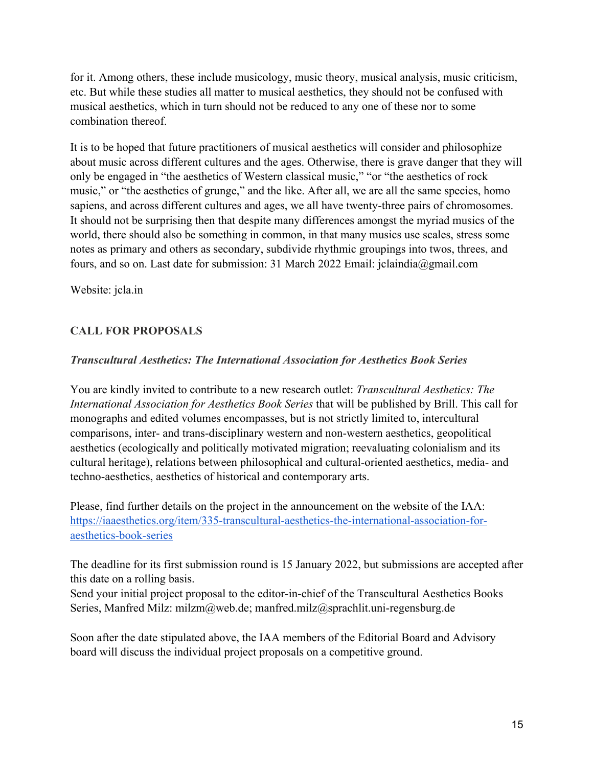for it. Among others, these include musicology, music theory, musical analysis, music criticism, etc. But while these studies all matter to musical aesthetics, they should not be confused with musical aesthetics, which in turn should not be reduced to any one of these nor to some combination thereof.

It is to be hoped that future practitioners of musical aesthetics will consider and philosophize about music across different cultures and the ages. Otherwise, there is grave danger that they will only be engaged in "the aesthetics of Western classical music," "or "the aesthetics of rock music," or "the aesthetics of grunge," and the like. After all, we are all the same species, homo sapiens, and across different cultures and ages, we all have twenty-three pairs of chromosomes. It should not be surprising then that despite many differences amongst the myriad musics of the world, there should also be something in common, in that many musics use scales, stress some notes as primary and others as secondary, subdivide rhythmic groupings into twos, threes, and fours, and so on. Last date for submission: 31 March 2022 Email: jclaindia@gmail.com

Website: jcla.in

# **CALL FOR PROPOSALS**

#### *Transcultural Aesthetics: The International Association for Aesthetics Book Series*

You are kindly invited to contribute to a new research outlet: *Transcultural Aesthetics: The International Association for Aesthetics Book Series* that will be published by Brill. This call for monographs and edited volumes encompasses, but is not strictly limited to, intercultural comparisons, inter- and trans-disciplinary western and non-western aesthetics, geopolitical aesthetics (ecologically and politically motivated migration; reevaluating colonialism and its cultural heritage), relations between philosophical and cultural-oriented aesthetics, media- and techno-aesthetics, aesthetics of historical and contemporary arts.

Please, find further details on the project in the announcement on the website of the IAA: https://iaaesthetics.org/item/335-transcultural-aesthetics-the-international-association-foraesthetics-book-series

The deadline for its first submission round is 15 January 2022, but submissions are accepted after this date on a rolling basis.

Send your initial project proposal to the editor-in-chief of the Transcultural Aesthetics Books Series, Manfred Milz: milzm@web.de; manfred.milz@sprachlit.uni-regensburg.de

Soon after the date stipulated above, the IAA members of the Editorial Board and Advisory board will discuss the individual project proposals on a competitive ground.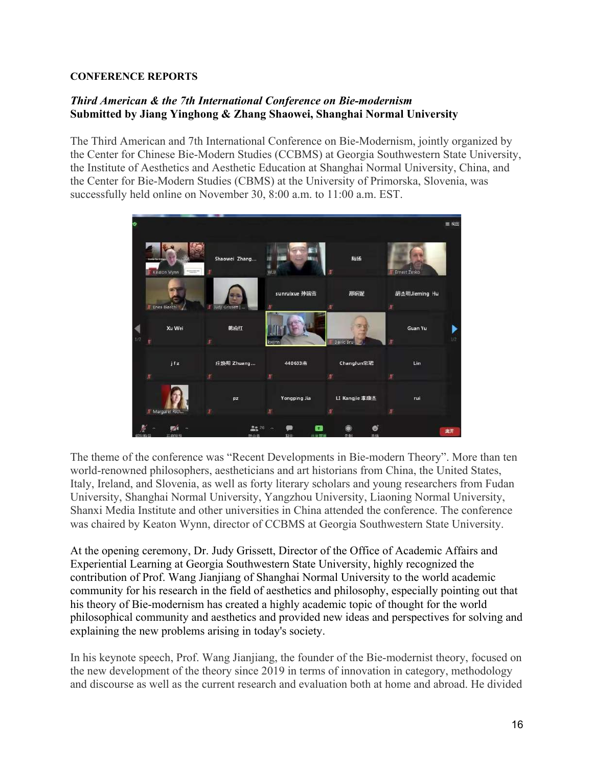#### **CONFERENCE REPORTS**

# *Third American & the 7th International Conference on Bie-modernism* **Submitted by Jiang Yinghong & Zhang Shaowei, Shanghai Normal University**

The Third American and 7th International Conference on Bie-Modernism, jointly organized by the Center for Chinese Bie-Modern Studies (CCBMS) at Georgia Southwestern State University, the Institute of Aesthetics and Aesthetic Education at Shanghai Normal University, China, and the Center for Bie-Modern Studies (CBMS) at the University of Primorska, Slovenia, was successfully held online on November 30, 8:00 a.m. to 11:00 a.m. EST.



The theme of the conference was "Recent Developments in Bie-modern Theory". More than ten world-renowned philosophers, aestheticians and art historians from China, the United States, Italy, Ireland, and Slovenia, as well as forty literary scholars and young researchers from Fudan University, Shanghai Normal University, Yangzhou University, Liaoning Normal University, Shanxi Media Institute and other universities in China attended the conference. The conference was chaired by Keaton Wynn, director of CCBMS at Georgia Southwestern State University.

At the opening ceremony, Dr. Judy Grissett, Director of the Office of Academic Affairs and Experiential Learning at Georgia Southwestern State University, highly recognized the contribution of Prof. Wang Jianjiang of Shanghai Normal University to the world academic community for his research in the field of aesthetics and philosophy, especially pointing out that his theory of Bie-modernism has created a highly academic topic of thought for the world philosophical community and aesthetics and provided new ideas and perspectives for solving and explaining the new problems arising in today's society.

In his keynote speech, Prof. Wang Jianjiang, the founder of the Bie-modernist theory, focused on the new development of the theory since 2019 in terms of innovation in category, methodology and discourse as well as the current research and evaluation both at home and abroad. He divided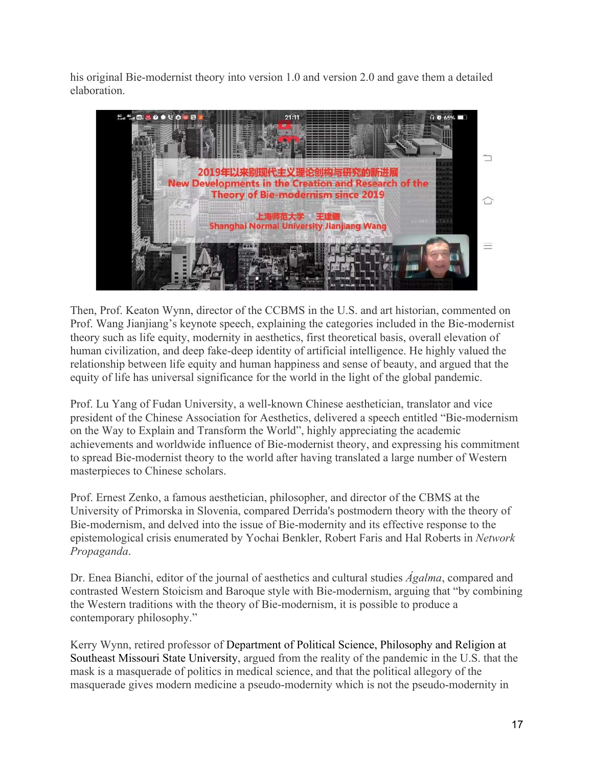his original Bie-modernist theory into version 1.0 and version 2.0 and gave them a detailed elaboration.



Then, Prof. Keaton Wynn, director of the CCBMS in the U.S. and art historian, commented on Prof. Wang Jianjiang's keynote speech, explaining the categories included in the Bie-modernist theory such as life equity, modernity in aesthetics, first theoretical basis, overall elevation of human civilization, and deep fake-deep identity of artificial intelligence. He highly valued the relationship between life equity and human happiness and sense of beauty, and argued that the equity of life has universal significance for the world in the light of the global pandemic.

Prof. Lu Yang of Fudan University, a well-known Chinese aesthetician, translator and vice president of the Chinese Association for Aesthetics, delivered a speech entitled "Bie-modernism on the Way to Explain and Transform the World", highly appreciating the academic achievements and worldwide influence of Bie-modernist theory, and expressing his commitment to spread Bie-modernist theory to the world after having translated a large number of Western masterpieces to Chinese scholars.

Prof. Ernest Zenko, a famous aesthetician, philosopher, and director of the CBMS at the University of Primorska in Slovenia, compared Derrida's postmodern theory with the theory of Bie-modernism, and delved into the issue of Bie-modernity and its effective response to the epistemological crisis enumerated by Yochai Benkler, Robert Faris and Hal Roberts in *Network Propaganda*.

Dr. Enea Bianchi, editor of the journal of aesthetics and cultural studies *Ágalma*, compared and contrasted Western Stoicism and Baroque style with Bie-modernism, arguing that "by combining the Western traditions with the theory of Bie-modernism, it is possible to produce a contemporary philosophy."

Kerry Wynn, retired professor of Department of Political Science, Philosophy and Religion at Southeast Missouri State University, argued from the reality of the pandemic in the U.S. that the mask is a masquerade of politics in medical science, and that the political allegory of the masquerade gives modern medicine a pseudo-modernity which is not the pseudo-modernity in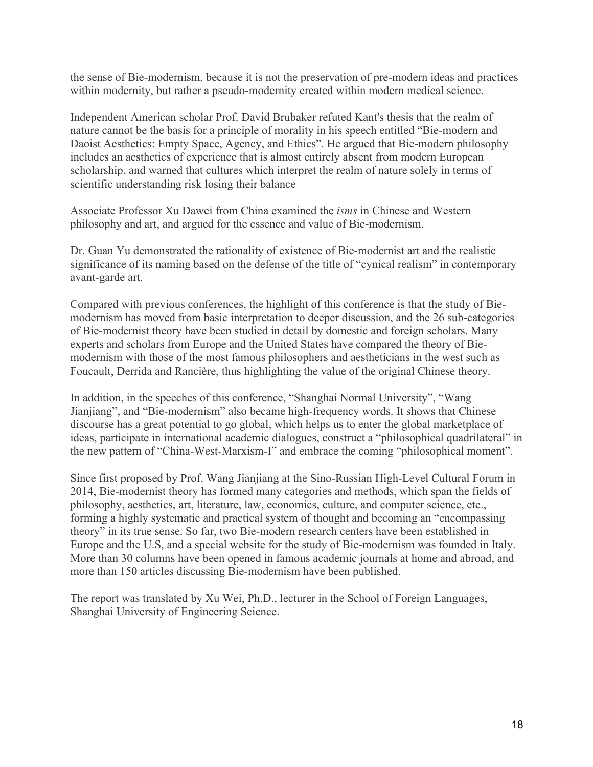the sense of Bie-modernism, because it is not the preservation of pre-modern ideas and practices within modernity, but rather a pseudo-modernity created within modern medical science.

Independent American scholar Prof. David Brubaker refuted Kant's thesis that the realm of nature cannot be the basis for a principle of morality in his speech entitled "Bie-modern and Daoist Aesthetics: Empty Space, Agency, and Ethics". He argued that Bie-modern philosophy includes an aesthetics of experience that is almost entirely absent from modern European scholarship, and warned that cultures which interpret the realm of nature solely in terms of scientific understanding risk losing their balance

Associate Professor Xu Dawei from China examined the *isms* in Chinese and Western philosophy and art, and argued for the essence and value of Bie-modernism.

Dr. Guan Yu demonstrated the rationality of existence of Bie-modernist art and the realistic significance of its naming based on the defense of the title of "cynical realism" in contemporary avant-garde art.

Compared with previous conferences, the highlight of this conference is that the study of Biemodernism has moved from basic interpretation to deeper discussion, and the 26 sub-categories of Bie-modernist theory have been studied in detail by domestic and foreign scholars. Many experts and scholars from Europe and the United States have compared the theory of Biemodernism with those of the most famous philosophers and aestheticians in the west such as Foucault, Derrida and Rancière, thus highlighting the value of the original Chinese theory.

In addition, in the speeches of this conference, "Shanghai Normal University", "Wang Jianjiang", and "Bie-modernism" also became high-frequency words. It shows that Chinese discourse has a great potential to go global, which helps us to enter the global marketplace of ideas, participate in international academic dialogues, construct a "philosophical quadrilateral" in the new pattern of "China-West-Marxism-I" and embrace the coming "philosophical moment".

Since first proposed by Prof. Wang Jianjiang at the Sino-Russian High-Level Cultural Forum in 2014, Bie-modernist theory has formed many categories and methods, which span the fields of philosophy, aesthetics, art, literature, law, economics, culture, and computer science, etc., forming a highly systematic and practical system of thought and becoming an "encompassing theory" in its true sense. So far, two Bie-modern research centers have been established in Europe and the U.S, and a special website for the study of Bie-modernism was founded in Italy. More than 30 columns have been opened in famous academic journals at home and abroad, and more than 150 articles discussing Bie-modernism have been published.

The report was translated by Xu Wei, Ph.D., lecturer in the School of Foreign Languages, Shanghai University of Engineering Science.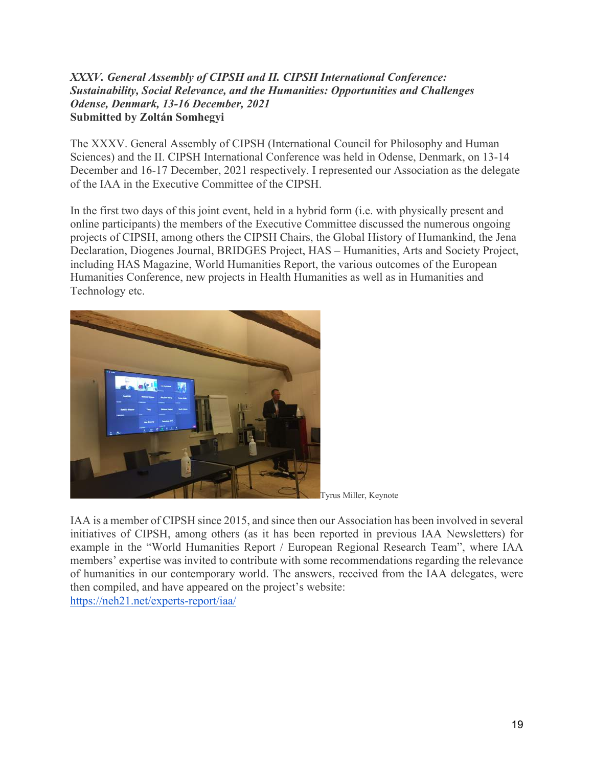#### *XXXV. General Assembly of CIPSH and II. CIPSH International Conference: Sustainability, Social Relevance, and the Humanities: Opportunities and Challenges Odense, Denmark, 13-16 December, 2021* **Submitted by Zoltán Somhegyi**

The XXXV. General Assembly of CIPSH (International Council for Philosophy and Human Sciences) and the II. CIPSH International Conference was held in Odense, Denmark, on 13-14 December and 16-17 December, 2021 respectively. I represented our Association as the delegate of the IAA in the Executive Committee of the CIPSH.

In the first two days of this joint event, held in a hybrid form (i.e. with physically present and online participants) the members of the Executive Committee discussed the numerous ongoing projects of CIPSH, among others the CIPSH Chairs, the Global History of Humankind, the Jena Declaration, Diogenes Journal, BRIDGES Project, HAS – Humanities, Arts and Society Project, including HAS Magazine, World Humanities Report, the various outcomes of the European Humanities Conference, new projects in Health Humanities as well as in Humanities and Technology etc.





IAA is a member of CIPSH since 2015, and since then our Association has been involved in several initiatives of CIPSH, among others (as it has been reported in previous IAA Newsletters) for example in the "World Humanities Report / European Regional Research Team", where IAA members' expertise was invited to contribute with some recommendations regarding the relevance of humanities in our contemporary world. The answers, received from the IAA delegates, were then compiled, and have appeared on the project's website: https://neh21.net/experts-report/iaa/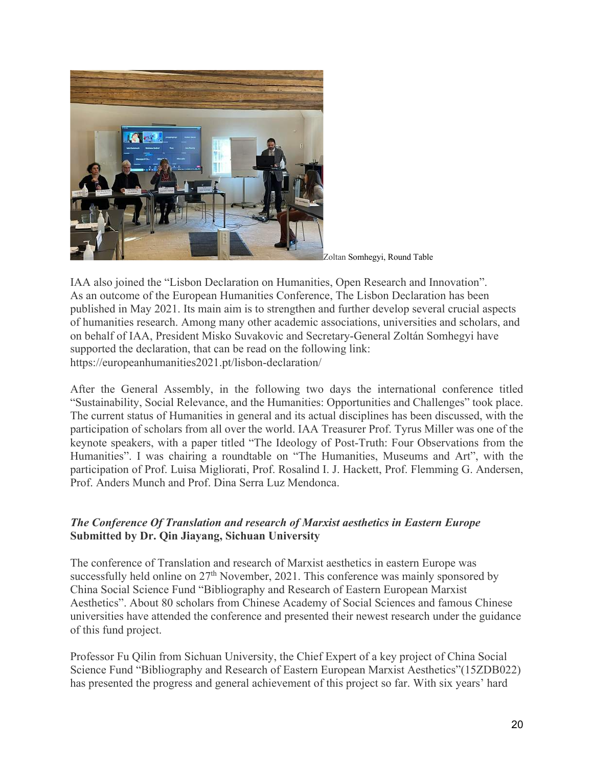

Zoltan Somhegyi, Round Table

IAA also joined the "Lisbon Declaration on Humanities, Open Research and Innovation". As an outcome of the European Humanities Conference, The Lisbon Declaration has been published in May 2021. Its main aim is to strengthen and further develop several crucial aspects of humanities research. Among many other academic associations, universities and scholars, and on behalf of IAA, President Misko Suvakovic and Secretary-General Zoltán Somhegyi have supported the declaration, that can be read on the following link: https://europeanhumanities2021.pt/lisbon-declaration/

After the General Assembly, in the following two days the international conference titled "Sustainability, Social Relevance, and the Humanities: Opportunities and Challenges" took place. The current status of Humanities in general and its actual disciplines has been discussed, with the participation of scholars from all over the world. IAA Treasurer Prof. Tyrus Miller was one of the keynote speakers, with a paper titled "The Ideology of Post-Truth: Four Observations from the Humanities". I was chairing a roundtable on "The Humanities, Museums and Art", with the participation of Prof. Luisa Migliorati, Prof. Rosalind I. J. Hackett, Prof. Flemming G. Andersen, Prof. Anders Munch and Prof. Dina Serra Luz Mendonca.

#### *The Conference Of Translation and research of Marxist aesthetics in Eastern Europe* **Submitted by Dr. Qin Jiayang, Sichuan University**

The conference of Translation and research of Marxist aesthetics in eastern Europe was successfully held online on 27<sup>th</sup> November, 2021. This conference was mainly sponsored by China Social Science Fund "Bibliography and Research of Eastern European Marxist Aesthetics". About 80 scholars from Chinese Academy of Social Sciences and famous Chinese universities have attended the conference and presented their newest research under the guidance of this fund project.

Professor Fu Qilin from Sichuan University, the Chief Expert of a key project of China Social Science Fund "Bibliography and Research of Eastern European Marxist Aesthetics"(15ZDB022) has presented the progress and general achievement of this project so far. With six years' hard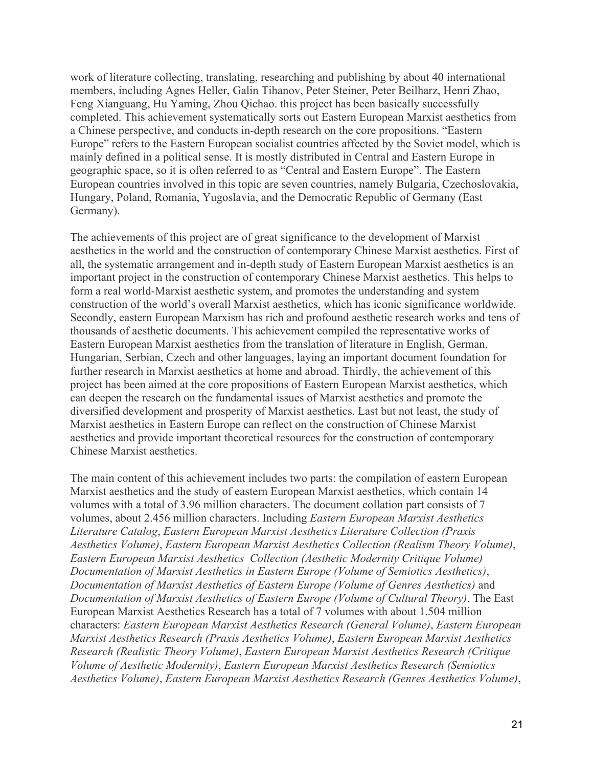work of literature collecting, translating, researching and publishing by about 40 international members, including Agnes Heller, Galin Tihanov, Peter Steiner, Peter Beilharz, Henri Zhao, Feng Xianguang, Hu Yaming, Zhou Qichao. this project has been basically successfully completed. This achievement systematically sorts out Eastern European Marxist aesthetics from a Chinese perspective, and conducts in-depth research on the core propositions. "Eastern Europe" refers to the Eastern European socialist countries affected by the Soviet model, which is mainly defined in a political sense. It is mostly distributed in Central and Eastern Europe in geographic space, so it is often referred to as "Central and Eastern Europe". The Eastern European countries involved in this topic are seven countries, namely Bulgaria, Czechoslovakia, Hungary, Poland, Romania, Yugoslavia, and the Democratic Republic of Germany (East Germany).

The achievements of this project are of great significance to the development of Marxist aesthetics in the world and the construction of contemporary Chinese Marxist aesthetics. First of all, the systematic arrangement and in-depth study of Eastern European Marxist aesthetics is an important project in the construction of contemporary Chinese Marxist aesthetics. This helps to form a real world-Marxist aesthetic system, and promotes the understanding and system construction of the world's overall Marxist aesthetics, which has iconic significance worldwide. Secondly, eastern European Marxism has rich and profound aesthetic research works and tens of thousands of aesthetic documents. This achievement compiled the representative works of Eastern European Marxist aesthetics from the translation of literature in English, German, Hungarian, Serbian, Czech and other languages, laying an important document foundation for further research in Marxist aesthetics at home and abroad. Thirdly, the achievement of this project has been aimed at the core propositions of Eastern European Marxist aesthetics, which can deepen the research on the fundamental issues of Marxist aesthetics and promote the diversified development and prosperity of Marxist aesthetics. Last but not least, the study of Marxist aesthetics in Eastern Europe can reflect on the construction of Chinese Marxist aesthetics and provide important theoretical resources for the construction of contemporary Chinese Marxist aesthetics.

The main content of this achievement includes two parts: the compilation of eastern European Marxist aesthetics and the study of eastern European Marxist aesthetics, which contain 14 volumes with a total of 3.96 million characters. The document collation part consists of 7 volumes, about 2.456 million characters. Including *Eastern European Marxist Aesthetics Literature Catalog*, *Eastern European Marxist Aesthetics Literature Collection (Praxis Aesthetics Volume)*, *Eastern European Marxist Aesthetics Collection (Realism Theory Volume)*, *Eastern European Marxist Aesthetics Collection (Aesthetic Modernity Critique Volume) Documentation of Marxist Aesthetics in Eastern Europe (Volume of Semiotics Aesthetics)*, *Documentation of Marxist Aesthetics of Eastern Europe (Volume of Genres Aesthetics)* and *Documentation of Marxist Aesthetics of Eastern Europe (Volume of Cultural Theory)*. The East European Marxist Aesthetics Research has a total of 7 volumes with about 1.504 million characters: *Eastern European Marxist Aesthetics Research (General Volume)*, *Eastern European Marxist Aesthetics Research (Praxis Aesthetics Volume)*, *Eastern European Marxist Aesthetics Research (Realistic Theory Volume)*, *Eastern European Marxist Aesthetics Research (Critique Volume of Aesthetic Modernity)*, *Eastern European Marxist Aesthetics Research (Semiotics Aesthetics Volume)*, *Eastern European Marxist Aesthetics Research (Genres Aesthetics Volume)*,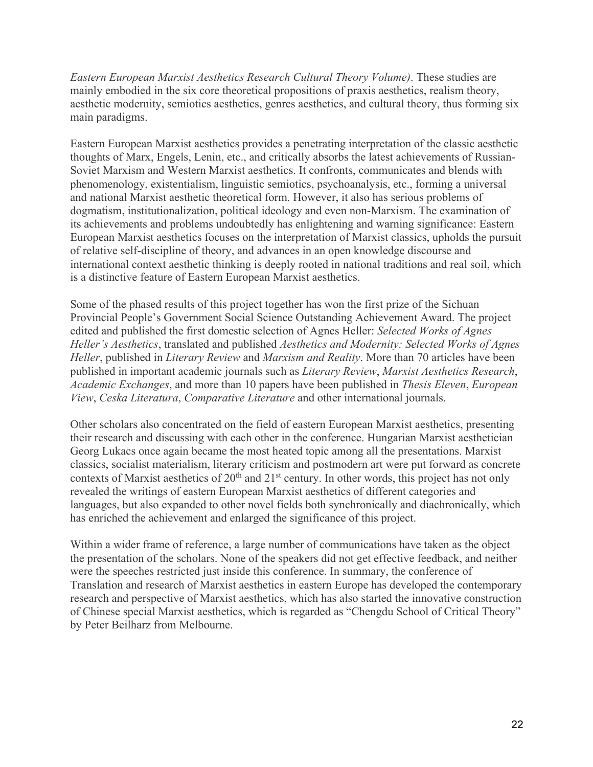*Eastern European Marxist Aesthetics Research Cultural Theory Volume)*. These studies are mainly embodied in the six core theoretical propositions of praxis aesthetics, realism theory, aesthetic modernity, semiotics aesthetics, genres aesthetics, and cultural theory, thus forming six main paradigms.

Eastern European Marxist aesthetics provides a penetrating interpretation of the classic aesthetic thoughts of Marx, Engels, Lenin, etc., and critically absorbs the latest achievements of Russian-Soviet Marxism and Western Marxist aesthetics. It confronts, communicates and blends with phenomenology, existentialism, linguistic semiotics, psychoanalysis, etc., forming a universal and national Marxist aesthetic theoretical form. However, it also has serious problems of dogmatism, institutionalization, political ideology and even non-Marxism. The examination of its achievements and problems undoubtedly has enlightening and warning significance: Eastern European Marxist aesthetics focuses on the interpretation of Marxist classics, upholds the pursuit of relative self-discipline of theory, and advances in an open knowledge discourse and international context aesthetic thinking is deeply rooted in national traditions and real soil, which is a distinctive feature of Eastern European Marxist aesthetics.

Some of the phased results of this project together has won the first prize of the Sichuan Provincial People's Government Social Science Outstanding Achievement Award. The project edited and published the first domestic selection of Agnes Heller: *Selected Works of Agnes Heller's Aesthetics*, translated and published *Aesthetics and Modernity: Selected Works of Agnes Heller*, published in *Literary Review* and *Marxism and Reality*. More than 70 articles have been published in important academic journals such as *Literary Review*, *Marxist Aesthetics Research*, *Academic Exchanges*, and more than 10 papers have been published in *Thesis Eleven*, *European View*, *Ceska Literatura*, *Comparative Literature* and other international journals.

Other scholars also concentrated on the field of eastern European Marxist aesthetics, presenting their research and discussing with each other in the conference. Hungarian Marxist aesthetician Georg Lukacs once again became the most heated topic among all the presentations. Marxist classics, socialist materialism, literary criticism and postmodern art were put forward as concrete contexts of Marxist aesthetics of  $20<sup>th</sup>$  and  $21<sup>st</sup>$  century. In other words, this project has not only revealed the writings of eastern European Marxist aesthetics of different categories and languages, but also expanded to other novel fields both synchronically and diachronically, which has enriched the achievement and enlarged the significance of this project.

Within a wider frame of reference, a large number of communications have taken as the object the presentation of the scholars. None of the speakers did not get effective feedback, and neither were the speeches restricted just inside this conference. In summary, the conference of Translation and research of Marxist aesthetics in eastern Europe has developed the contemporary research and perspective of Marxist aesthetics, which has also started the innovative construction of Chinese special Marxist aesthetics, which is regarded as "Chengdu School of Critical Theory" by Peter Beilharz from Melbourne.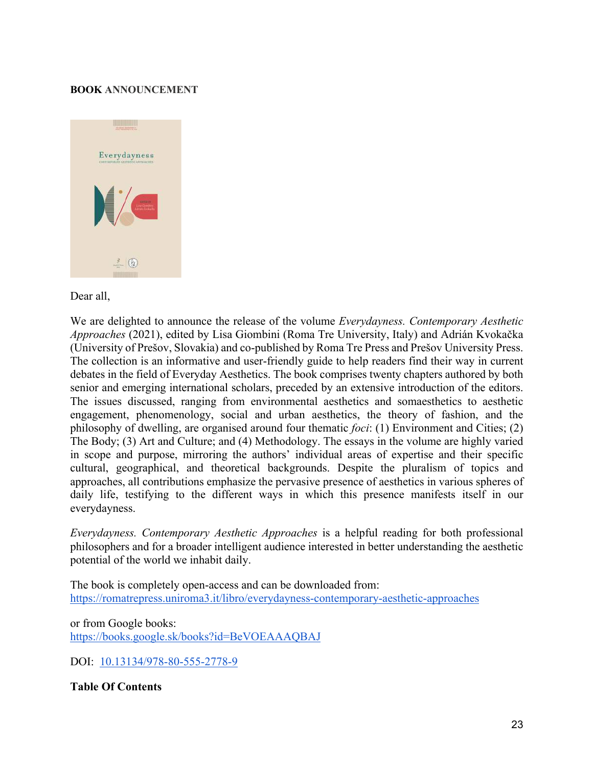#### **BOOK ANNOUNCEMENT**



#### Dear all,

We are delighted to announce the release of the volume *Everydayness. Contemporary Aesthetic Approaches* (2021), edited by Lisa Giombini (Roma Tre University, Italy) and Adrián Kvokačka (University of Prešov, Slovakia) and co-published by Roma Tre Press and Prešov University Press. The collection is an informative and user-friendly guide to help readers find their way in current debates in the field of Everyday Aesthetics. The book comprises twenty chapters authored by both senior and emerging international scholars, preceded by an extensive introduction of the editors. The issues discussed, ranging from environmental aesthetics and somaesthetics to aesthetic engagement, phenomenology, social and urban aesthetics, the theory of fashion, and the philosophy of dwelling, are organised around four thematic *foci*: (1) Environment and Cities; (2) The Body; (3) Art and Culture; and (4) Methodology. The essays in the volume are highly varied in scope and purpose, mirroring the authors' individual areas of expertise and their specific cultural, geographical, and theoretical backgrounds. Despite the pluralism of topics and approaches, all contributions emphasize the pervasive presence of aesthetics in various spheres of daily life, testifying to the different ways in which this presence manifests itself in our everydayness.

*Everydayness. Contemporary Aesthetic Approaches* is a helpful reading for both professional philosophers and for a broader intelligent audience interested in better understanding the aesthetic potential of the world we inhabit daily.

The book is completely open-access and can be downloaded from: https://romatrepress.uniroma3.it/libro/everydayness-contemporary-aesthetic-approaches

or from Google books: https://books.google.sk/books?id=BeVOEAAAQBAJ

DOI: 10.13134/978-80-555-2778-9

**Table Of Contents**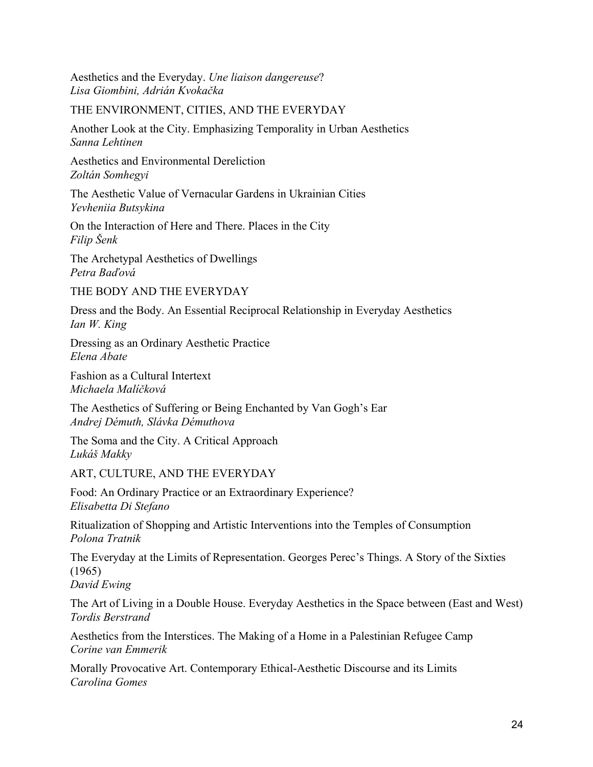Aesthetics and the Everyday. *Une liaison dangereuse*? *Lisa Giombini, Adrián Kvokačka*

#### THE ENVIRONMENT, CITIES, AND THE EVERYDAY

Another Look at the City. Emphasizing Temporality in Urban Aesthetics *Sanna Lehtinen*

Aesthetics and Environmental Dereliction *Zoltán Somhegyi*

The Aesthetic Value of Vernacular Gardens in Ukrainian Cities *Yevheniia Butsykina*

On the Interaction of Here and There. Places in the City *Filip Šenk*

The Archetypal Aesthetics of Dwellings *Petra Baďová*

THE BODY AND THE EVERYDAY

Dress and the Body. An Essential Reciprocal Relationship in Everyday Aesthetics *Ian W. King*

Dressing as an Ordinary Aesthetic Practice *Elena Abate*

Fashion as a Cultural Intertext *Michaela Malíčková*

The Aesthetics of Suffering or Being Enchanted by Van Gogh's Ear *Andrej Démuth, Slávka Démuthova*

The Soma and the City. A Critical Approach *Lukáš Makky*

ART, CULTURE, AND THE EVERYDAY

Food: An Ordinary Practice or an Extraordinary Experience? *Elisabetta Di Stefano*

Ritualization of Shopping and Artistic Interventions into the Temples of Consumption *Polona Tratnik*

The Everyday at the Limits of Representation. Georges Perec's Things. A Story of the Sixties (1965)

*David Ewing*

The Art of Living in a Double House. Everyday Aesthetics in the Space between (East and West) *Tordis Berstrand*

Aesthetics from the Interstices. The Making of a Home in a Palestinian Refugee Camp *Corine van Emmerik*

Morally Provocative Art. Contemporary Ethical-Aesthetic Discourse and its Limits *Carolina Gomes*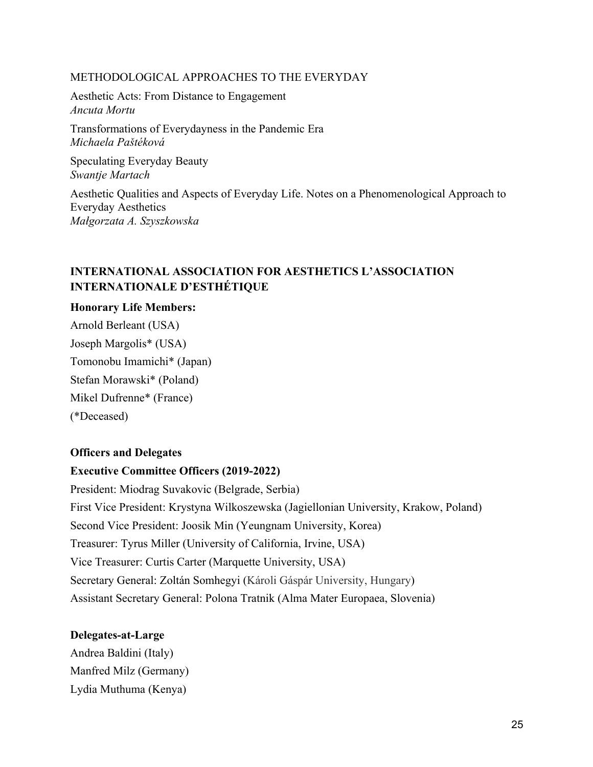#### METHODOLOGICAL APPROACHES TO THE EVERYDAY

Aesthetic Acts: From Distance to Engagement *Ancuta Mortu*

Transformations of Everydayness in the Pandemic Era *Michaela Paštéková*

Speculating Everyday Beauty *Swantje Martach*

Aesthetic Qualities and Aspects of Everyday Life. Notes on a Phenomenological Approach to Everyday Aesthetics *Małgorzata A. Szyszkowska*

# **INTERNATIONAL ASSOCIATION FOR AESTHETICS L'ASSOCIATION INTERNATIONALE D'ESTHÉTIQUE**

#### **Honorary Life Members:**

Arnold Berleant (USA) Joseph Margolis\* (USA) Tomonobu Imamichi\* (Japan) Stefan Morawski\* (Poland) Mikel Dufrenne\* (France) (\*Deceased)

#### **Officers and Delegates**

#### **Executive Committee Officers (2019-2022)**

President: Miodrag Suvakovic (Belgrade, Serbia) First Vice President: Krystyna Wilkoszewska (Jagiellonian University, Krakow, Poland) Second Vice President: Joosik Min (Yeungnam University, Korea) Treasurer: Tyrus Miller (University of California, Irvine, USA) Vice Treasurer: Curtis Carter (Marquette University, USA) Secretary General: Zoltán Somhegyi (Károli Gáspár University, Hungary) Assistant Secretary General: Polona Tratnik (Alma Mater Europaea, Slovenia)

#### **Delegates-at-Large**

Andrea Baldini (Italy) Manfred Milz (Germany) Lydia Muthuma (Kenya)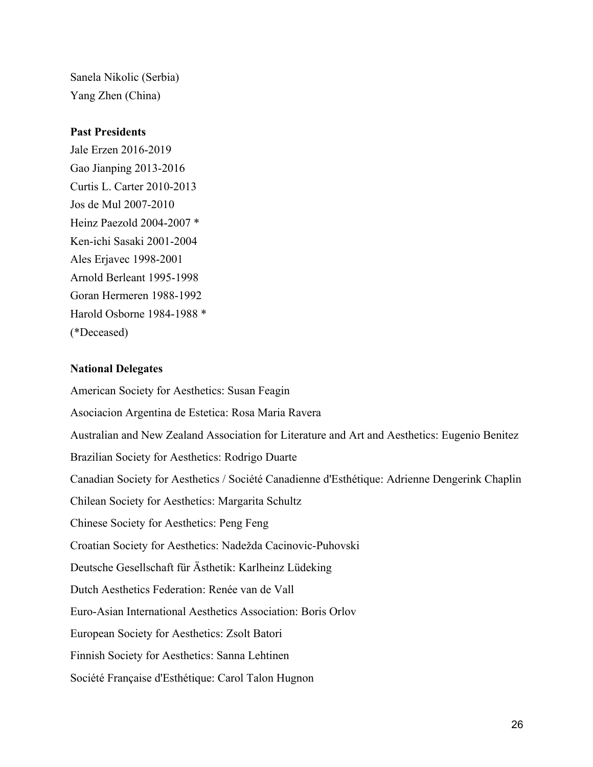Sanela Nikolic (Serbia) Yang Zhen (China)

#### **Past Presidents**

Jale Erzen 2016-2019 Gao Jianping 2013-2016 Curtis L. Carter 2010-2013 Jos de Mul 2007-2010 Heinz Paezold 2004-2007 \* Ken-ichi Sasaki 2001-2004 Ales Erjavec 1998-2001 Arnold Berleant 1995-1998 Goran Hermeren 1988-1992 Harold Osborne 1984-1988 \* (\*Deceased)

#### **National Delegates**

American Society for Aesthetics: Susan Feagin Asociacion Argentina de Estetica: Rosa Maria Ravera Australian and New Zealand Association for Literature and Art and Aesthetics: Eugenio Benitez Brazilian Society for Aesthetics: Rodrigo Duarte Canadian Society for Aesthetics / Société Canadienne d'Esthétique: Adrienne Dengerink Chaplin Chilean Society for Aesthetics: Margarita Schultz Chinese Society for Aesthetics: Peng Feng Croatian Society for Aesthetics: Nadežda Cacinovic-Puhovski Deutsche Gesellschaft für Ästhetik: Karlheinz Lüdeking Dutch Aesthetics Federation: Renée van de Vall Euro-Asian International Aesthetics Association: Boris Orlov European Society for Aesthetics: Zsolt Batori Finnish Society for Aesthetics: Sanna Lehtinen Société Française d'Esthétique: Carol Talon Hugnon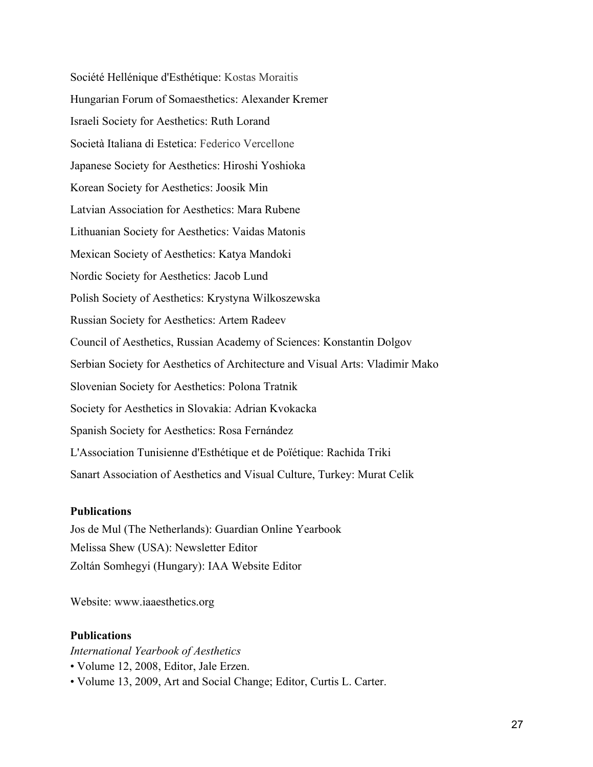Société Hellénique d'Esthétique: Kostas Moraitis Hungarian Forum of Somaesthetics: Alexander Kremer Israeli Society for Aesthetics: Ruth Lorand Società Italiana di Estetica: Federico Vercellone Japanese Society for Aesthetics: Hiroshi Yoshioka Korean Society for Aesthetics: Joosik Min Latvian Association for Aesthetics: Mara Rubene Lithuanian Society for Aesthetics: Vaidas Matonis Mexican Society of Aesthetics: Katya Mandoki Nordic Society for Aesthetics: Jacob Lund Polish Society of Aesthetics: Krystyna Wilkoszewska Russian Society for Aesthetics: Artem Radeev Council of Aesthetics, Russian Academy of Sciences: Konstantin Dolgov Serbian Society for Aesthetics of Architecture and Visual Arts: Vladimir Mako Slovenian Society for Aesthetics: Polona Tratnik Society for Aesthetics in Slovakia: Adrian Kvokacka Spanish Society for Aesthetics: Rosa Fernández L'Association Tunisienne d'Esthétique et de Poïétique: Rachida Triki Sanart Association of Aesthetics and Visual Culture, Turkey: Murat Celik

#### **Publications**

Jos de Mul (The Netherlands): Guardian Online Yearbook Melissa Shew (USA): Newsletter Editor Zoltán Somhegyi (Hungary): IAA Website Editor

Website: www.iaaesthetics.org

#### **Publications**

*International Yearbook of Aesthetics*

- Volume 12, 2008, Editor, Jale Erzen.
- Volume 13, 2009, Art and Social Change; Editor, Curtis L. Carter.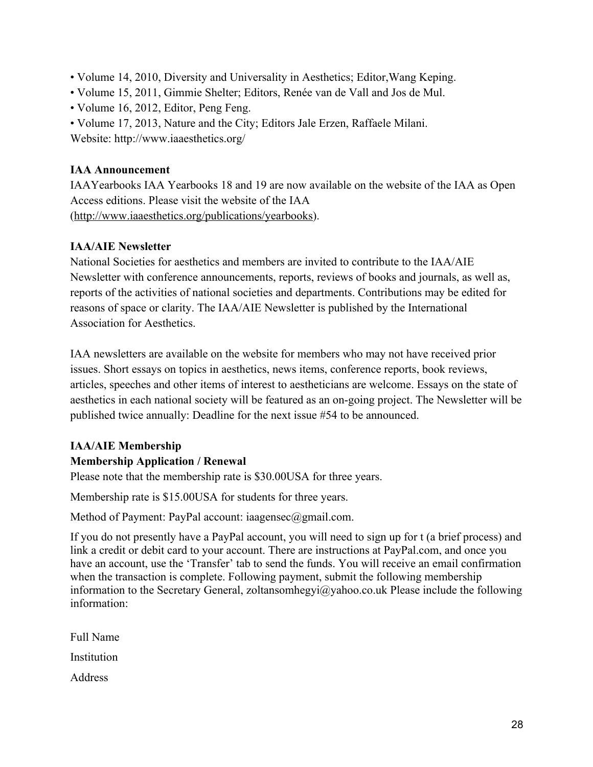- Volume 14, 2010, Diversity and Universality in Aesthetics; Editor,Wang Keping.
- Volume 15, 2011, Gimmie Shelter; Editors, Renée van de Vall and Jos de Mul.
- Volume 16, 2012, Editor, Peng Feng.
- Volume 17, 2013, Nature and the City; Editors Jale Erzen, Raffaele Milani.

Website: http://www.iaaesthetics.org/

#### **IAA Announcement**

IAAYearbooks IAA Yearbooks 18 and 19 are now available on the website of the IAA as Open Access editions. Please visit the website of the IAA (http://www.iaaesthetics.org/publications/yearbooks).

# **IAA/AIE Newsletter**

National Societies for aesthetics and members are invited to contribute to the IAA/AIE Newsletter with conference announcements, reports, reviews of books and journals, as well as, reports of the activities of national societies and departments. Contributions may be edited for reasons of space or clarity. The IAA/AIE Newsletter is published by the International Association for Aesthetics.

IAA newsletters are available on the website for members who may not have received prior issues. Short essays on topics in aesthetics, news items, conference reports, book reviews, articles, speeches and other items of interest to aestheticians are welcome. Essays on the state of aesthetics in each national society will be featured as an on-going project. The Newsletter will be published twice annually: Deadline for the next issue #54 to be announced.

# **IAA/AIE Membership**

# **Membership Application / Renewal**

Please note that the membership rate is \$30.00USA for three years.

Membership rate is \$15.00USA for students for three years.

Method of Payment: PayPal account: iaagensec@gmail.com.

If you do not presently have a PayPal account, you will need to sign up for t (a brief process) and link a credit or debit card to your account. There are instructions at PayPal.com, and once you have an account, use the 'Transfer' tab to send the funds. You will receive an email confirmation when the transaction is complete. Following payment, submit the following membership information to the Secretary General, zoltansomhegyi@yahoo.co.uk Please include the following information:

Full Name Institution Address